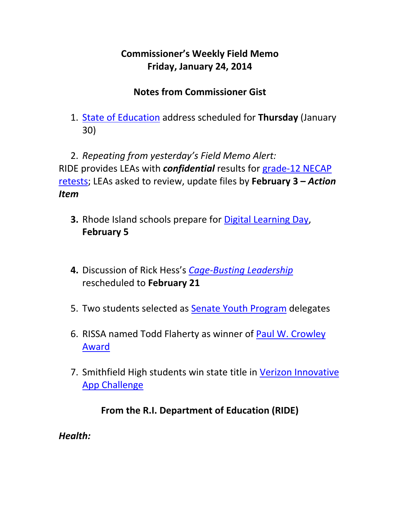# **Commissioner's Weekly Field Memo Friday, January 24, 2014**

# **Notes from Commissioner Gist**

1. State of Education address scheduled for **Thursday** (January 30)

2. *Repeating from yesterday's Field Memo Alert:* RIDE provides LEAs with *confidential* results for grade‐12 NECAP retests; LEAs asked to review, update files by **February 3 –** *Action Item* 

- **3.** Rhode Island schools prepare for Digital Learning Day, **February 5**
- **4.** Discussion of Rick Hess's *Cage‐Busting Leadership* rescheduled to **February 21**
- 5. Two students selected as **Senate Youth Program** delegates
- 6. RISSA named Todd Flaherty as winner of Paul W. Crowley Award
- 7. Smithfield High students win state title in Verizon Innovative App Challenge

# **From the R.I. Department of Education (RIDE)**

*Health:*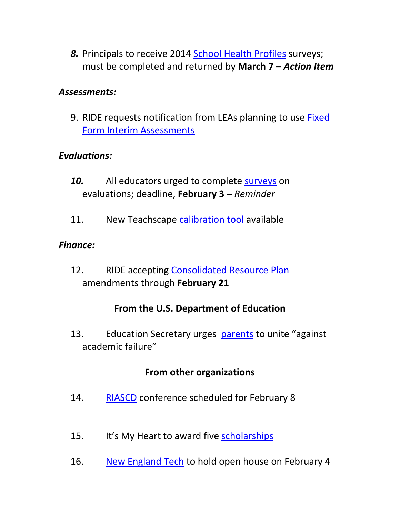*8.* Principals to receive 2014 School Health Profiles surveys; must be completed and returned by **March 7 –** *Action Item*

#### *Assessments:*

9. RIDE requests notification from LEAs planning to use Fixed Form Interim Assessments

#### *Evaluations:*

- 10. All educators urged to complete surveys on evaluations; deadline, **February 3 –** *Reminder*
- 11. New Teachscape calibration tool available

#### *Finance:*

12. RIDE accepting Consolidated Resource Plan amendments through **February 21**

#### **From the U.S. Department of Education**

13. Education Secretary urges parents to unite "against academic failure"

#### **From other organizations**

- 14. RIASCD conference scheduled for February 8
- 15. It's My Heart to award five scholarships
- 16. New England Tech to hold open house on February 4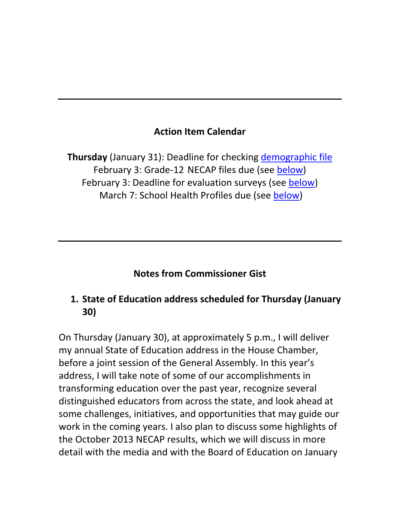### **Action Item Calendar**

**Thursday** (January 31): Deadline for checking demographic file February 3: Grade‐12 NECAP files due (see below) February 3: Deadline for evaluation surveys (see below) March 7: School Health Profiles due (see below)

#### **Notes from Commissioner Gist**

### **1. State of Education address scheduled for Thursday (January 30)**

On Thursday (January 30), at approximately 5 p.m., I will deliver my annual State of Education address in the House Chamber, before a joint session of the General Assembly. In this year's address, I will take note of some of our accomplishments in transforming education over the past year, recognize several distinguished educators from across the state, and look ahead at some challenges, initiatives, and opportunities that may guide our work in the coming years. I also plan to discuss some highlights of the October 2013 NECAP results, which we will discuss in more detail with the media and with the Board of Education on January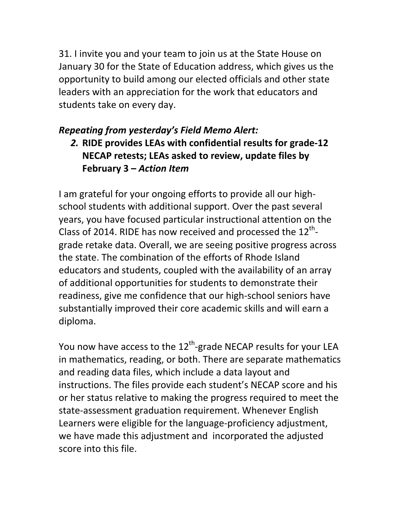31. I invite you and your team to join us at the State House on January 30 for the State of Education address, which gives us the opportunity to build among our elected officials and other state leaders with an appreciation for the work that educators and students take on every day.

### *Repeating from yesterday's Field Memo Alert:*

*2.* **RIDE provides LEAs with confidential results for grade‐12 NECAP retests; LEAs asked to review, update files by February 3 –** *Action Item* 

I am grateful for your ongoing efforts to provide all our high‐ school students with additional support. Over the past several years, you have focused particular instructional attention on the Class of 2014. RIDE has now received and processed the  $12^{th}$ grade retake data. Overall, we are seeing positive progress across the state. The combination of the efforts of Rhode Island educators and students, coupled with the availability of an array of additional opportunities for students to demonstrate their readiness, give me confidence that our high‐school seniors have substantially improved their core academic skills and will earn a diploma.

You now have access to the  $12^{th}$ -grade NECAP results for your LEA in mathematics, reading, or both. There are separate mathematics and reading data files, which include a data layout and instructions. The files provide each student's NECAP score and his or her status relative to making the progress required to meet the state‐assessment graduation requirement. Whenever English Learners were eligible for the language‐proficiency adjustment, we have made this adjustment and incorporated the adjusted score into this file.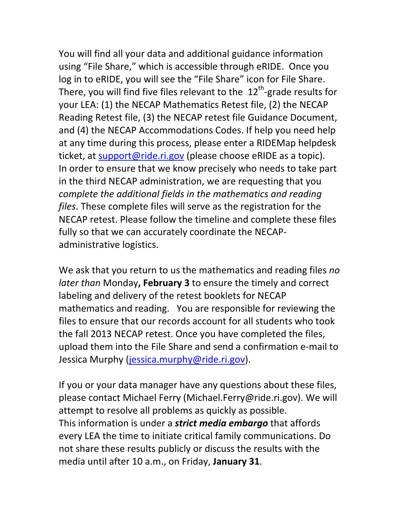You will find all your data and additional guidance information using "File Share," which is accessible through eRIDE. Once you log in to eRIDE, you will see the "File Share" icon for File Share. There, you will find five files relevant to the  $12<sup>th</sup>$ -grade results for your LEA: (1) the NECAP Mathematics Retest file, (2) the NECAP Reading Retest file, (3) the NECAP retest file Guidance Document, and (4) the NECAP Accommodations Codes. If help you need help at any time during this process, please enter a RIDEMap helpdesk ticket, at support@ride.ri.gov (please choose eRIDE as a topic). In order to ensure that we know precisely who needs to take part in the third NECAP administration, we are requesting that you *complete the additional fields in the mathematics and reading files*. These complete files will serve as the registration for the NECAP retest. Please follow the timeline and complete these files fully so that we can accurately coordinate the NECAP‐ administrative logistics.

We ask that you return to us the mathematics and reading files *no later than* Monday**, February 3** to ensure the timely and correct labeling and delivery of the retest booklets for NECAP mathematics and reading. You are responsible for reviewing the files to ensure that our records account for all students who took the fall 2013 NECAP retest. Once you have completed the files, upload them into the File Share and send a confirmation e‐mail to Jessica Murphy (jessica.murphy@ride.ri.gov).

If you or your data manager have any questions about these files, please contact Michael Ferry (Michael.Ferry@ride.ri.gov). We will attempt to resolve all problems as quickly as possible. This information is under a *strict media embargo* that affords every LEA the time to initiate critical family communications. Do not share these results publicly or discuss the results with the media until after 10 a.m., on Friday, **January 31**.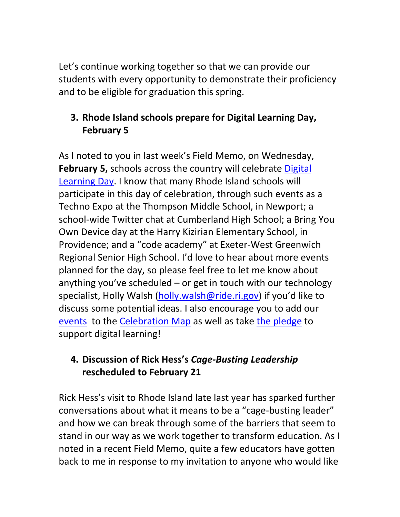Let's continue working together so that we can provide our students with every opportunity to demonstrate their proficiency and to be eligible for graduation this spring.

# **3. Rhode Island schools prepare for Digital Learning Day, February 5**

As I noted to you in last week's Field Memo, on Wednesday, **February 5,** schools across the country will celebrate Digital Learning Day. I know that many Rhode Island schools will participate in this day of celebration, through such events as a Techno Expo at the Thompson Middle School, in Newport; a school‐wide Twitter chat at Cumberland High School; a Bring You Own Device day at the Harry Kizirian Elementary School, in Providence; and a "code academy" at Exeter‐West Greenwich Regional Senior High School. I'd love to hear about more events planned for the day, so please feel free to let me know about anything you've scheduled – or get in touch with our technology specialist, Holly Walsh (holly.walsh@ride.ri.gov) if you'd like to discuss some potential ideas. I also encourage you to add our events to the Celebration Map as well as take the pledge to support digital learning!

## **4. Discussion of Rick Hess's** *Cage‐Busting Leadership* **rescheduled to February 21**

Rick Hess's visit to Rhode Island late last year has sparked further conversations about what it means to be a "cage‐busting leader" and how we can break through some of the barriers that seem to stand in our way as we work together to transform education. As I noted in a recent Field Memo, quite a few educators have gotten back to me in response to my invitation to anyone who would like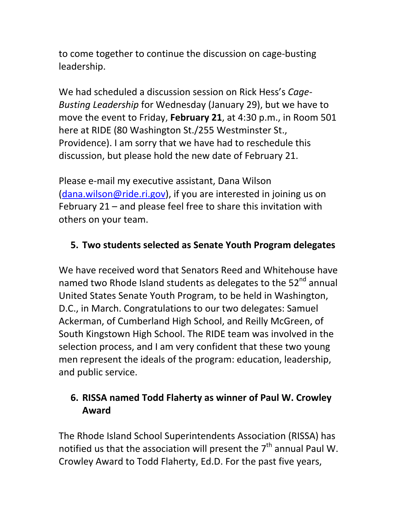to come together to continue the discussion on cage‐busting leadership.

We had scheduled a discussion session on Rick Hess's *Cage‐ Busting Leadership* for Wednesday (January 29), but we have to move the event to Friday, **February 21**, at 4:30 p.m., in Room 501 here at RIDE (80 Washington St./255 Westminster St., Providence). I am sorry that we have had to reschedule this discussion, but please hold the new date of February 21.

Please e‐mail my executive assistant, Dana Wilson (dana.wilson@ride.ri.gov), if you are interested in joining us on February 21 – and please feel free to share this invitation with others on your team.

## **5. Two students selected as Senate Youth Program delegates**

We have received word that Senators Reed and Whitehouse have named two Rhode Island students as delegates to the 52<sup>nd</sup> annual United States Senate Youth Program, to be held in Washington, D.C., in March. Congratulations to our two delegates: Samuel Ackerman, of Cumberland High School, and Reilly McGreen, of South Kingstown High School. The RIDE team was involved in the selection process, and I am very confident that these two young men represent the ideals of the program: education, leadership, and public service.

# **6. RISSA named Todd Flaherty as winner of Paul W. Crowley Award**

The Rhode Island School Superintendents Association (RISSA) has notified us that the association will present the  $7<sup>th</sup>$  annual Paul W. Crowley Award to Todd Flaherty, Ed.D. For the past five years,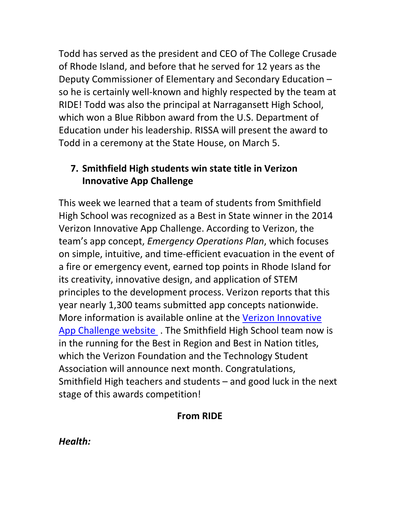Todd has served as the president and CEO of The College Crusade of Rhode Island, and before that he served for 12 years as the Deputy Commissioner of Elementary and Secondary Education – so he is certainly well-known and highly respected by the team at RIDE! Todd was also the principal at Narragansett High School, which won a Blue Ribbon award from the U.S. Department of Education under his leadership. RISSA will present the award to Todd in a ceremony at the State House, on March 5.

# **7. Smithfield High students win state title in Verizon Innovative App Challenge**

This week we learned that a team of students from Smithfield High School was recognized as a Best in State winner in the 2014 Verizon Innovative App Challenge. According to Verizon, the team's app concept, *Emergency Operations Plan*, which focuses on simple, intuitive, and time‐efficient evacuation in the event of a fire or emergency event, earned top points in Rhode Island for its creativity, innovative design, and application of STEM principles to the development process. Verizon reports that this year nearly 1,300 teams submitted app concepts nationwide. More information is available online at the Verizon Innovative App Challenge website . The Smithfield High School team now is in the running for the Best in Region and Best in Nation titles, which the Verizon Foundation and the Technology Student Association will announce next month. Congratulations, Smithfield High teachers and students – and good luck in the next stage of this awards competition!

### **From RIDE**

*Health:*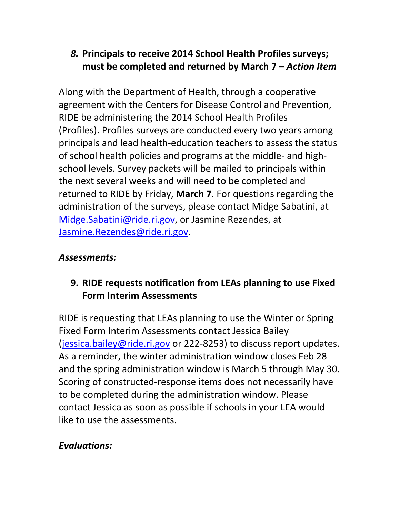## *8.* **Principals to receive 2014 School Health Profiles surveys; must be completed and returned by March 7 –** *Action Item*

Along with the Department of Health, through a cooperative agreement with the Centers for Disease Control and Prevention, RIDE be administering the 2014 School Health Profiles (Profiles). Profiles surveys are conducted every two years among principals and lead health‐education teachers to assess the status of school health policies and programs at the middle‐ and high‐ school levels. Survey packets will be mailed to principals within the next several weeks and will need to be completed and returned to RIDE by Friday, **March 7**. For questions regarding the administration of the surveys, please contact Midge Sabatini, at Midge.Sabatini@ride.ri.gov, or Jasmine Rezendes, at Jasmine.Rezendes@ride.ri.gov.

### *Assessments:*

# **9. RIDE requests notification from LEAs planning to use Fixed Form Interim Assessments**

RIDE is requesting that LEAs planning to use the Winter or Spring Fixed Form Interim Assessments contact Jessica Bailey (jessica.bailey@ride.ri.gov or 222‐8253) to discuss report updates. As a reminder, the winter administration window closes Feb 28 and the spring administration window is March 5 through May 30. Scoring of constructed‐response items does not necessarily have to be completed during the administration window. Please contact Jessica as soon as possible if schools in your LEA would like to use the assessments.

### *Evaluations:*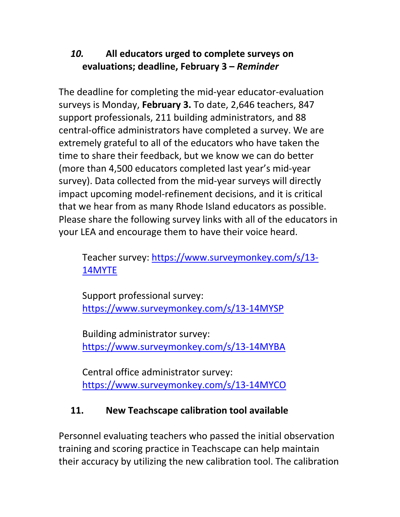# *10.* **All educators urged to complete surveys on evaluations; deadline, February 3 –** *Reminder*

The deadline for completing the mid‐year educator‐evaluation surveys is Monday, **February 3.** To date, 2,646 teachers, 847 support professionals, 211 building administrators, and 88 central‐office administrators have completed a survey. We are extremely grateful to all of the educators who have taken the time to share their feedback, but we know we can do better (more than 4,500 educators completed last year's mid‐year survey). Data collected from the mid-year surveys will directly impact upcoming model‐refinement decisions, and it is critical that we hear from as many Rhode Island educators as possible. Please share the following survey links with all of the educators in your LEA and encourage them to have their voice heard.

Teacher survey: https://www.surveymonkey.com/s/13‐ 14MYTE

Support professional survey: https://www.surveymonkey.com/s/13‐14MYSP

Building administrator survey: https://www.surveymonkey.com/s/13‐14MYBA

Central office administrator survey: https://www.surveymonkey.com/s/13‐14MYCO

### **11. New Teachscape calibration tool available**

Personnel evaluating teachers who passed the initial observation training and scoring practice in Teachscape can help maintain their accuracy by utilizing the new calibration tool. The calibration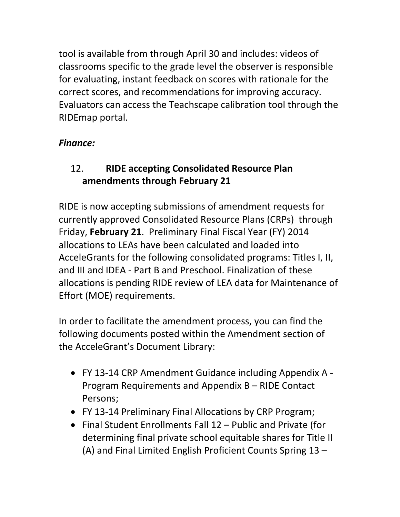tool is available from through April 30 and includes: videos of classrooms specific to the grade level the observer is responsible for evaluating, instant feedback on scores with rationale for the correct scores, and recommendations for improving accuracy. Evaluators can access the Teachscape calibration tool through the RIDEmap portal.

### *Finance:*

# 12. **RIDE accepting Consolidated Resource Plan amendments through February 21**

RIDE is now accepting submissions of amendment requests for currently approved Consolidated Resource Plans (CRPs) through Friday, **February 21**. Preliminary Final Fiscal Year (FY) 2014 allocations to LEAs have been calculated and loaded into AcceleGrants for the following consolidated programs: Titles I, II, and III and IDEA ‐ Part B and Preschool. Finalization of these allocations is pending RIDE review of LEA data for Maintenance of Effort (MOE) requirements.

In order to facilitate the amendment process, you can find the following documents posted within the Amendment section of the AcceleGrant's Document Library:

- FY 13‐14 CRP Amendment Guidance including Appendix A ‐ Program Requirements and Appendix B – RIDE Contact Persons;
- FY 13‐14 Preliminary Final Allocations by CRP Program;
- Final Student Enrollments Fall 12 Public and Private (for determining final private school equitable shares for Title II (A) and Final Limited English Proficient Counts Spring 13 –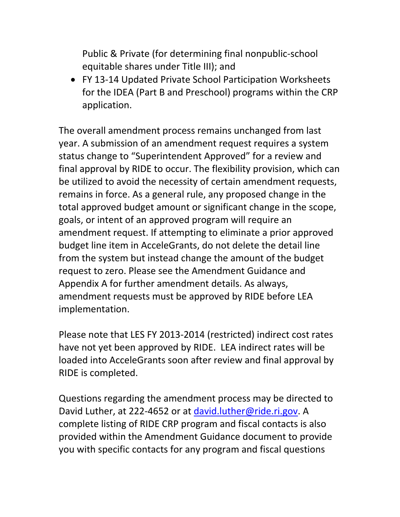Public & Private (for determining final nonpublic‐school equitable shares under Title III); and

 FY 13‐14 Updated Private School Participation Worksheets for the IDEA (Part B and Preschool) programs within the CRP application.

The overall amendment process remains unchanged from last year. A submission of an amendment request requires a system status change to "Superintendent Approved" for a review and final approval by RIDE to occur. The flexibility provision, which can be utilized to avoid the necessity of certain amendment requests, remains in force. As a general rule, any proposed change in the total approved budget amount or significant change in the scope, goals, or intent of an approved program will require an amendment request. If attempting to eliminate a prior approved budget line item in AcceleGrants, do not delete the detail line from the system but instead change the amount of the budget request to zero. Please see the Amendment Guidance and Appendix A for further amendment details. As always, amendment requests must be approved by RIDE before LEA implementation.

Please note that LES FY 2013‐2014 (restricted) indirect cost rates have not yet been approved by RIDE. LEA indirect rates will be loaded into AcceleGrants soon after review and final approval by RIDE is completed.

Questions regarding the amendment process may be directed to David Luther, at 222-4652 or at david.luther@ride.ri.gov. A complete listing of RIDE CRP program and fiscal contacts is also provided within the Amendment Guidance document to provide you with specific contacts for any program and fiscal questions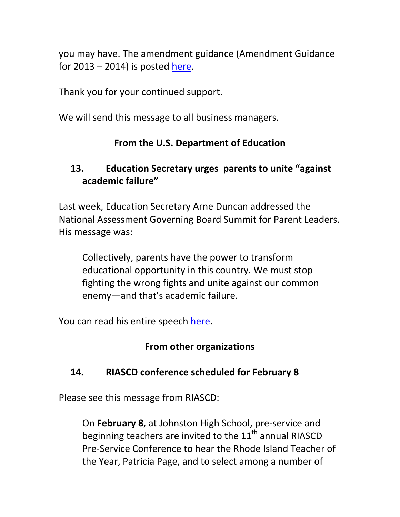you may have. The amendment guidance (Amendment Guidance for  $2013 - 2014$ ) is posted here.

Thank you for your continued support.

We will send this message to all business managers.

# **From the U.S. Department of Education**

### **13. Education Secretary urges parents to unite "against academic failure"**

Last week, Education Secretary Arne Duncan addressed the National Assessment Governing Board Summit for Parent Leaders. His message was:

Collectively, parents have the power to transform educational opportunity in this country. We must stop fighting the wrong fights and unite against our common enemy—and that's academic failure.

You can read his entire speech here.

# **From other organizations**

# **14. RIASCD conference scheduled for February 8**

Please see this message from RIASCD:

On **February 8**, at Johnston High School, pre‐service and beginning teachers are invited to the  $11<sup>th</sup>$  annual RIASCD Pre‐Service Conference to hear the Rhode Island Teacher of the Year, Patricia Page, and to select among a number of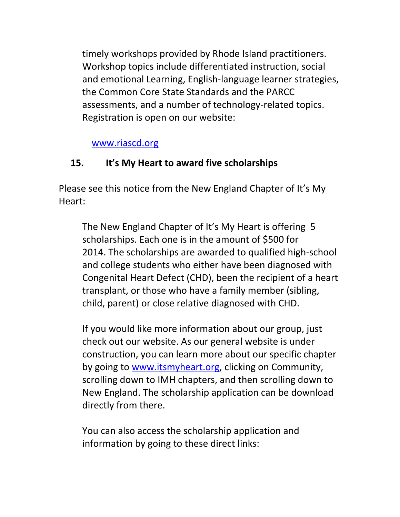timely workshops provided by Rhode Island practitioners. Workshop topics include differentiated instruction, social and emotional Learning, English‐language learner strategies, the Common Core State Standards and the PARCC assessments, and a number of technology‐related topics. Registration is open on our website:

www.riascd.org

### **15. It's My Heart to award five scholarships**

Please see this notice from the New England Chapter of It's My Heart:

The New England Chapter of It's My Heart is offering 5 scholarships. Each one is in the amount of \$500 for 2014. The scholarships are awarded to qualified high‐school and college students who either have been diagnosed with Congenital Heart Defect (CHD), been the recipient of a heart transplant, or those who have a family member (sibling, child, parent) or close relative diagnosed with CHD.

If you would like more information about our group, just check out our website. As our general website is under construction, you can learn more about our specific chapter by going to www.itsmyheart.org, clicking on Community, scrolling down to IMH chapters, and then scrolling down to New England. The scholarship application can be download directly from there.

You can also access the scholarship application and information by going to these direct links: